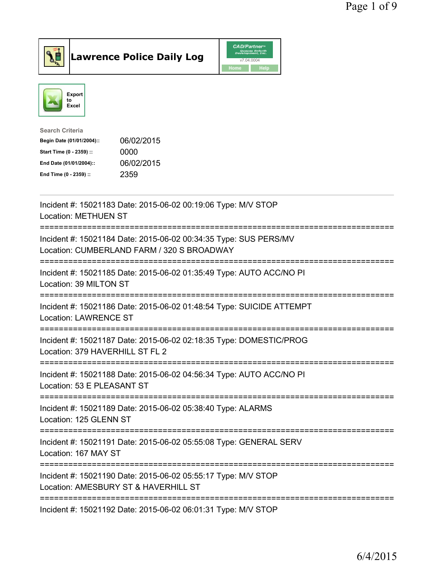

Lawrence Police Daily Log CAD/Partners



| <b>Search Criteria</b>    |            |
|---------------------------|------------|
| Begin Date (01/01/2004):: | 06/02/2015 |
| Start Time (0 - 2359) ::  | 0000       |
| End Date (01/01/2004)::   | 06/02/2015 |
| End Time (0 - 2359) ::    | 2359       |
|                           |            |

| Incident #: 15021183 Date: 2015-06-02 00:19:06 Type: M/V STOP<br><b>Location: METHUEN ST</b>                                                        |
|-----------------------------------------------------------------------------------------------------------------------------------------------------|
| Incident #: 15021184 Date: 2015-06-02 00:34:35 Type: SUS PERS/MV<br>Location: CUMBERLAND FARM / 320 S BROADWAY<br>--------------------------------- |
| Incident #: 15021185 Date: 2015-06-02 01:35:49 Type: AUTO ACC/NO PI<br>Location: 39 MILTON ST                                                       |
| Incident #: 15021186 Date: 2015-06-02 01:48:54 Type: SUICIDE ATTEMPT<br><b>Location: LAWRENCE ST</b>                                                |
| Incident #: 15021187 Date: 2015-06-02 02:18:35 Type: DOMESTIC/PROG<br>Location: 379 HAVERHILL ST FL 2                                               |
| ------------------------<br>Incident #: 15021188 Date: 2015-06-02 04:56:34 Type: AUTO ACC/NO PI<br>Location: 53 E PLEASANT ST                       |
| Incident #: 15021189 Date: 2015-06-02 05:38:40 Type: ALARMS<br>Location: 125 GLENN ST                                                               |
| Incident #: 15021191 Date: 2015-06-02 05:55:08 Type: GENERAL SERV<br>Location: 167 MAY ST                                                           |
| Incident #: 15021190 Date: 2015-06-02 05:55:17 Type: M/V STOP<br>Location: AMESBURY ST & HAVERHILL ST                                               |
| Incident #: 15021192 Date: 2015-06-02 06:01:31 Type: M/V STOP                                                                                       |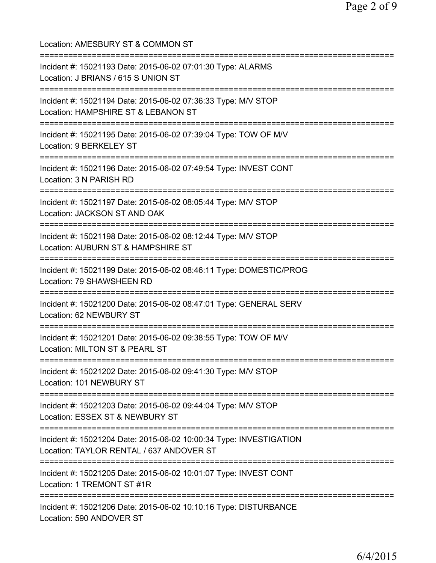| Location: AMESBURY ST & COMMON ST                                                                                                                                       |
|-------------------------------------------------------------------------------------------------------------------------------------------------------------------------|
| Incident #: 15021193 Date: 2015-06-02 07:01:30 Type: ALARMS<br>Location: J BRIANS / 615 S UNION ST                                                                      |
| Incident #: 15021194 Date: 2015-06-02 07:36:33 Type: M/V STOP<br>Location: HAMPSHIRE ST & LEBANON ST                                                                    |
| Incident #: 15021195 Date: 2015-06-02 07:39:04 Type: TOW OF M/V<br>Location: 9 BERKELEY ST                                                                              |
| Incident #: 15021196 Date: 2015-06-02 07:49:54 Type: INVEST CONT<br>Location: 3 N PARISH RD                                                                             |
| :=============================<br>Incident #: 15021197 Date: 2015-06-02 08:05:44 Type: M/V STOP<br>Location: JACKSON ST AND OAK<br>==================================== |
| Incident #: 15021198 Date: 2015-06-02 08:12:44 Type: M/V STOP<br>Location: AUBURN ST & HAMPSHIRE ST<br>:========================                                        |
| Incident #: 15021199 Date: 2015-06-02 08:46:11 Type: DOMESTIC/PROG<br>Location: 79 SHAWSHEEN RD                                                                         |
| Incident #: 15021200 Date: 2015-06-02 08:47:01 Type: GENERAL SERV<br>Location: 62 NEWBURY ST                                                                            |
| Incident #: 15021201 Date: 2015-06-02 09:38:55 Type: TOW OF M/V<br>Location: MILTON ST & PEARL ST                                                                       |
| Incident #: 15021202 Date: 2015-06-02 09:41:30 Type: M/V STOP<br>Location: 101 NEWBURY ST                                                                               |
| Incident #: 15021203 Date: 2015-06-02 09:44:04 Type: M/V STOP<br>Location: ESSEX ST & NEWBURY ST                                                                        |
| Incident #: 15021204 Date: 2015-06-02 10:00:34 Type: INVESTIGATION<br>Location: TAYLOR RENTAL / 637 ANDOVER ST                                                          |
| Incident #: 15021205 Date: 2015-06-02 10:01:07 Type: INVEST CONT<br>Location: 1 TREMONT ST #1R                                                                          |
| Incident #: 15021206 Date: 2015-06-02 10:10:16 Type: DISTURBANCE<br>Location: 590 ANDOVER ST                                                                            |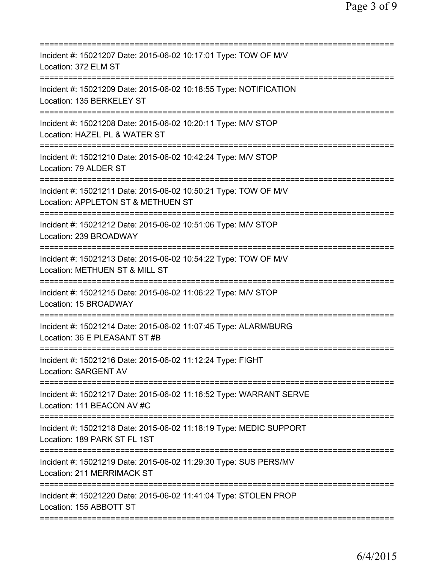| =======================                                                                                                                  |
|------------------------------------------------------------------------------------------------------------------------------------------|
| Incident #: 15021207 Date: 2015-06-02 10:17:01 Type: TOW OF M/V<br>Location: 372 ELM ST                                                  |
| Incident #: 15021209 Date: 2015-06-02 10:18:55 Type: NOTIFICATION<br>Location: 135 BERKELEY ST                                           |
| Incident #: 15021208 Date: 2015-06-02 10:20:11 Type: M/V STOP<br>Location: HAZEL PL & WATER ST                                           |
| Incident #: 15021210 Date: 2015-06-02 10:42:24 Type: M/V STOP<br>Location: 79 ALDER ST                                                   |
| Incident #: 15021211 Date: 2015-06-02 10:50:21 Type: TOW OF M/V<br>Location: APPLETON ST & METHUEN ST                                    |
| Incident #: 15021212 Date: 2015-06-02 10:51:06 Type: M/V STOP<br>Location: 239 BROADWAY                                                  |
| ===================================<br>Incident #: 15021213 Date: 2015-06-02 10:54:22 Type: TOW OF M/V<br>Location: METHUEN ST & MILL ST |
| Incident #: 15021215 Date: 2015-06-02 11:06:22 Type: M/V STOP<br>Location: 15 BROADWAY                                                   |
| Incident #: 15021214 Date: 2015-06-02 11:07:45 Type: ALARM/BURG<br>Location: 36 E PLEASANT ST #B                                         |
| Incident #: 15021216 Date: 2015-06-02 11:12:24 Type: FIGHT<br>Location: SARGENT AV                                                       |
| Incident #: 15021217 Date: 2015-06-02 11:16:52 Type: WARRANT SERVE<br>Location: 111 BEACON AV #C                                         |
| ;=======================<br>Incident #: 15021218 Date: 2015-06-02 11:18:19 Type: MEDIC SUPPORT<br>Location: 189 PARK ST FL 1ST           |
| Incident #: 15021219 Date: 2015-06-02 11:29:30 Type: SUS PERS/MV<br>Location: 211 MERRIMACK ST                                           |
| Incident #: 15021220 Date: 2015-06-02 11:41:04 Type: STOLEN PROP<br>Location: 155 ABBOTT ST                                              |
|                                                                                                                                          |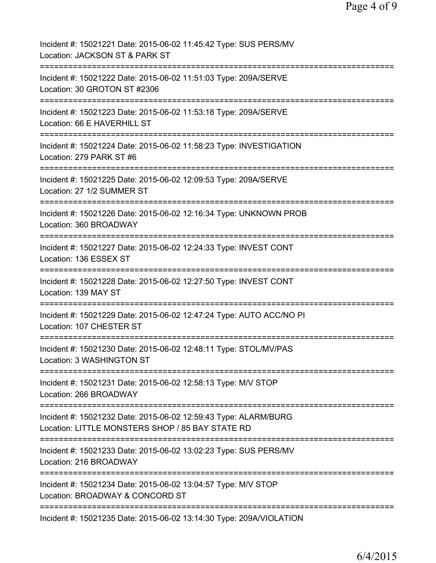| Incident #: 15021221 Date: 2015-06-02 11:45:42 Type: SUS PERS/MV<br>Location: JACKSON ST & PARK ST                  |
|---------------------------------------------------------------------------------------------------------------------|
| Incident #: 15021222 Date: 2015-06-02 11:51:03 Type: 209A/SERVE<br>Location: 30 GROTON ST #2306                     |
| Incident #: 15021223 Date: 2015-06-02 11:53:18 Type: 209A/SERVE<br>Location: 66 E HAVERHILL ST                      |
| Incident #: 15021224 Date: 2015-06-02 11:58:23 Type: INVESTIGATION<br>Location: 279 PARK ST #6                      |
| Incident #: 15021225 Date: 2015-06-02 12:09:53 Type: 209A/SERVE<br>Location: 27 1/2 SUMMER ST                       |
| Incident #: 15021226 Date: 2015-06-02 12:16:34 Type: UNKNOWN PROB<br>Location: 360 BROADWAY                         |
| Incident #: 15021227 Date: 2015-06-02 12:24:33 Type: INVEST CONT<br>Location: 136 ESSEX ST                          |
| Incident #: 15021228 Date: 2015-06-02 12:27:50 Type: INVEST CONT<br>Location: 139 MAY ST<br>=================       |
| Incident #: 15021229 Date: 2015-06-02 12:47:24 Type: AUTO ACC/NO PI<br>Location: 107 CHESTER ST                     |
| Incident #: 15021230 Date: 2015-06-02 12:48:11 Type: STOL/MV/PAS<br>Location: 3 WASHINGTON ST                       |
| Incident #: 15021231 Date: 2015-06-02 12:58:13 Type: M/V STOP<br>Location: 266 BROADWAY                             |
| Incident #: 15021232 Date: 2015-06-02 12:59:43 Type: ALARM/BURG<br>Location: LITTLE MONSTERS SHOP / 85 BAY STATE RD |
| Incident #: 15021233 Date: 2015-06-02 13:02:23 Type: SUS PERS/MV<br>Location: 216 BROADWAY                          |
| Incident #: 15021234 Date: 2015-06-02 13:04:57 Type: M/V STOP<br>Location: BROADWAY & CONCORD ST                    |
| Incident #: 15021235 Date: 2015-06-02 13:14:30 Type: 209A/VIOLATION                                                 |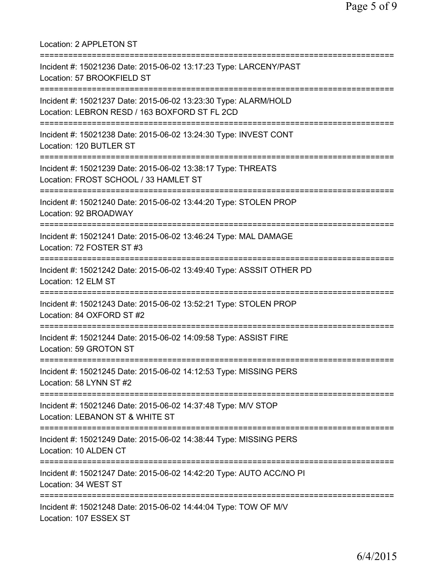| Location: 2 APPLETON ST                                                                                                                      |
|----------------------------------------------------------------------------------------------------------------------------------------------|
| Incident #: 15021236 Date: 2015-06-02 13:17:23 Type: LARCENY/PAST<br>Location: 57 BROOKFIELD ST                                              |
| Incident #: 15021237 Date: 2015-06-02 13:23:30 Type: ALARM/HOLD<br>Location: LEBRON RESD / 163 BOXFORD ST FL 2CD                             |
| Incident #: 15021238 Date: 2015-06-02 13:24:30 Type: INVEST CONT<br>Location: 120 BUTLER ST<br>===================================           |
| Incident #: 15021239 Date: 2015-06-02 13:38:17 Type: THREATS<br>Location: FROST SCHOOL / 33 HAMLET ST<br>=================================== |
| Incident #: 15021240 Date: 2015-06-02 13:44:20 Type: STOLEN PROP<br>Location: 92 BROADWAY                                                    |
| Incident #: 15021241 Date: 2015-06-02 13:46:24 Type: MAL DAMAGE<br>Location: 72 FOSTER ST #3                                                 |
| Incident #: 15021242 Date: 2015-06-02 13:49:40 Type: ASSSIT OTHER PD<br>Location: 12 ELM ST                                                  |
| Incident #: 15021243 Date: 2015-06-02 13:52:21 Type: STOLEN PROP<br>Location: 84 OXFORD ST #2                                                |
| Incident #: 15021244 Date: 2015-06-02 14:09:58 Type: ASSIST FIRE<br>Location: 59 GROTON ST                                                   |
| Incident #: 15021245 Date: 2015-06-02 14:12:53 Type: MISSING PERS<br>Location: 58 LYNN ST #2                                                 |
| Incident #: 15021246 Date: 2015-06-02 14:37:48 Type: M/V STOP<br>Location: LEBANON ST & WHITE ST                                             |
| ===================<br>Incident #: 15021249 Date: 2015-06-02 14:38:44 Type: MISSING PERS<br>Location: 10 ALDEN CT                            |
| Incident #: 15021247 Date: 2015-06-02 14:42:20 Type: AUTO ACC/NO PI<br>Location: 34 WEST ST                                                  |
| Incident #: 15021248 Date: 2015-06-02 14:44:04 Type: TOW OF M/V<br>Location: 107 ESSEX ST                                                    |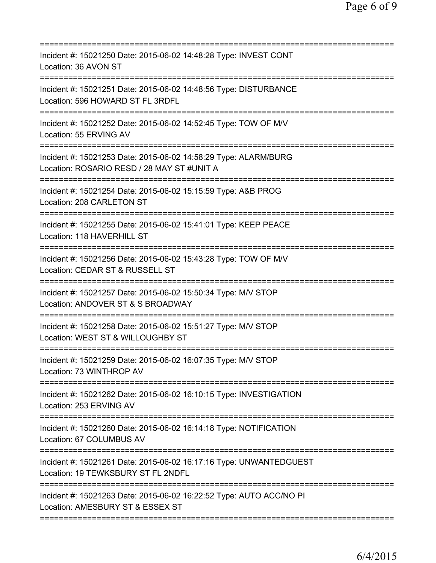| ====================================                                                                                           |
|--------------------------------------------------------------------------------------------------------------------------------|
| Incident #: 15021250 Date: 2015-06-02 14:48:28 Type: INVEST CONT<br>Location: 36 AVON ST                                       |
| Incident #: 15021251 Date: 2015-06-02 14:48:56 Type: DISTURBANCE<br>Location: 596 HOWARD ST FL 3RDFL                           |
| Incident #: 15021252 Date: 2015-06-02 14:52:45 Type: TOW OF M/V<br>Location: 55 ERVING AV                                      |
| Incident #: 15021253 Date: 2015-06-02 14:58:29 Type: ALARM/BURG<br>Location: ROSARIO RESD / 28 MAY ST #UNIT A                  |
| Incident #: 15021254 Date: 2015-06-02 15:15:59 Type: A&B PROG<br>Location: 208 CARLETON ST                                     |
| Incident #: 15021255 Date: 2015-06-02 15:41:01 Type: KEEP PEACE<br>Location: 118 HAVERHILL ST                                  |
| Incident #: 15021256 Date: 2015-06-02 15:43:28 Type: TOW OF M/V<br>Location: CEDAR ST & RUSSELL ST<br>======================== |
| Incident #: 15021257 Date: 2015-06-02 15:50:34 Type: M/V STOP<br>Location: ANDOVER ST & S BROADWAY                             |
| Incident #: 15021258 Date: 2015-06-02 15:51:27 Type: M/V STOP<br>Location: WEST ST & WILLOUGHBY ST                             |
| Incident #: 15021259 Date: 2015-06-02 16:07:35 Type: M/V STOP<br>Location: 73 WINTHROP AV                                      |
| Incident #: 15021262 Date: 2015-06-02 16:10:15 Type: INVESTIGATION<br>Location: 253 ERVING AV                                  |
| Incident #: 15021260 Date: 2015-06-02 16:14:18 Type: NOTIFICATION<br>Location: 67 COLUMBUS AV                                  |
| Incident #: 15021261 Date: 2015-06-02 16:17:16 Type: UNWANTEDGUEST<br>Location: 19 TEWKSBURY ST FL 2NDFL                       |
| Incident #: 15021263 Date: 2015-06-02 16:22:52 Type: AUTO ACC/NO PI<br>Location: AMESBURY ST & ESSEX ST                        |
|                                                                                                                                |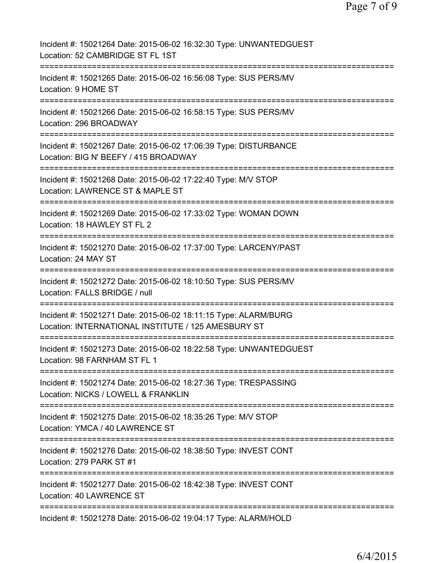| Incident #: 15021264 Date: 2015-06-02 16:32:30 Type: UNWANTEDGUEST<br>Location: 52 CAMBRIDGE ST FL 1ST                 |
|------------------------------------------------------------------------------------------------------------------------|
| Incident #: 15021265 Date: 2015-06-02 16:56:08 Type: SUS PERS/MV<br>Location: 9 HOME ST                                |
| Incident #: 15021266 Date: 2015-06-02 16:58:15 Type: SUS PERS/MV<br>Location: 296 BROADWAY                             |
| Incident #: 15021267 Date: 2015-06-02 17:06:39 Type: DISTURBANCE<br>Location: BIG N' BEEFY / 415 BROADWAY              |
| Incident #: 15021268 Date: 2015-06-02 17:22:40 Type: M/V STOP<br>Location: LAWRENCE ST & MAPLE ST                      |
| Incident #: 15021269 Date: 2015-06-02 17:33:02 Type: WOMAN DOWN<br>Location: 18 HAWLEY ST FL 2<br>==============       |
| Incident #: 15021270 Date: 2015-06-02 17:37:00 Type: LARCENY/PAST<br>Location: 24 MAY ST<br>=========================  |
| Incident #: 15021272 Date: 2015-06-02 18:10:50 Type: SUS PERS/MV<br>Location: FALLS BRIDGE / null                      |
| Incident #: 15021271 Date: 2015-06-02 18:11:15 Type: ALARM/BURG<br>Location: INTERNATIONAL INSTITUTE / 125 AMESBURY ST |
| Incident #: 15021273 Date: 2015-06-02 18:22:58 Type: UNWANTEDGUEST<br>Location: 98 FARNHAM ST FL 1                     |
| Incident #: 15021274 Date: 2015-06-02 18:27:36 Type: TRESPASSING<br>Location: NICKS / LOWELL & FRANKLIN                |
| Incident #: 15021275 Date: 2015-06-02 18:35:26 Type: M/V STOP<br>Location: YMCA / 40 LAWRENCE ST                       |
| Incident #: 15021276 Date: 2015-06-02 18:38:50 Type: INVEST CONT<br>Location: 279 PARK ST #1                           |
| Incident #: 15021277 Date: 2015-06-02 18:42:38 Type: INVEST CONT<br><b>Location: 40 LAWRENCE ST</b>                    |
| Incident #: 15021278 Date: 2015-06-02 19:04:17 Type: ALARM/HOLD                                                        |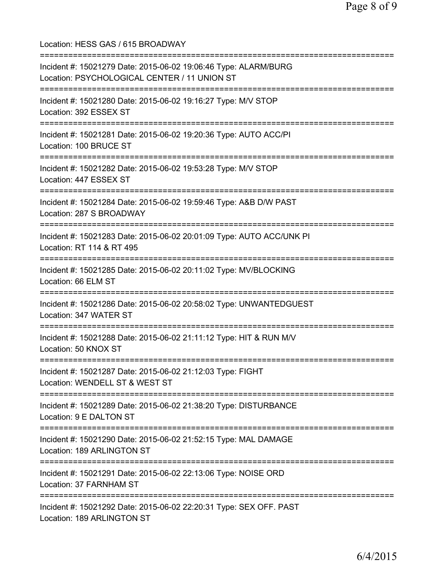Location: HESS GAS / 615 BROADWAY =========================================================================== Incident #: 15021279 Date: 2015-06-02 19:06:46 Type: ALARM/BURG Location: PSYCHOLOGICAL CENTER / 11 UNION ST =========================================================================== Incident #: 15021280 Date: 2015-06-02 19:16:27 Type: M/V STOP Location: 392 ESSEX ST =========================================================================== Incident #: 15021281 Date: 2015-06-02 19:20:36 Type: AUTO ACC/PI Location: 100 BRUCE ST =========================================================================== Incident #: 15021282 Date: 2015-06-02 19:53:28 Type: M/V STOP Location: 447 ESSEX ST =========================================================================== Incident #: 15021284 Date: 2015-06-02 19:59:46 Type: A&B D/W PAST Location: 287 S BROADWAY =========================================================================== Incident #: 15021283 Date: 2015-06-02 20:01:09 Type: AUTO ACC/UNK PI Location: RT 114 & RT 495 =========================================================================== Incident #: 15021285 Date: 2015-06-02 20:11:02 Type: MV/BLOCKING Location: 66 ELM ST =========================================================================== Incident #: 15021286 Date: 2015-06-02 20:58:02 Type: UNWANTEDGUEST Location: 347 WATER ST =========================================================================== Incident #: 15021288 Date: 2015-06-02 21:11:12 Type: HIT & RUN M/V Location: 50 KNOX ST =========================================================================== Incident #: 15021287 Date: 2015-06-02 21:12:03 Type: FIGHT Location: WENDELL ST & WEST ST =========================================================================== Incident #: 15021289 Date: 2015-06-02 21:38:20 Type: DISTURBANCE Location: 9 E DALTON ST =========================================================================== Incident #: 15021290 Date: 2015-06-02 21:52:15 Type: MAL DAMAGE Location: 189 ARLINGTON ST =========================================================================== Incident #: 15021291 Date: 2015-06-02 22:13:06 Type: NOISE ORD Location: 37 FARNHAM ST =========================================================================== Incident #: 15021292 Date: 2015-06-02 22:20:31 Type: SEX OFF. PAST Location: 189 ARLINGTON ST